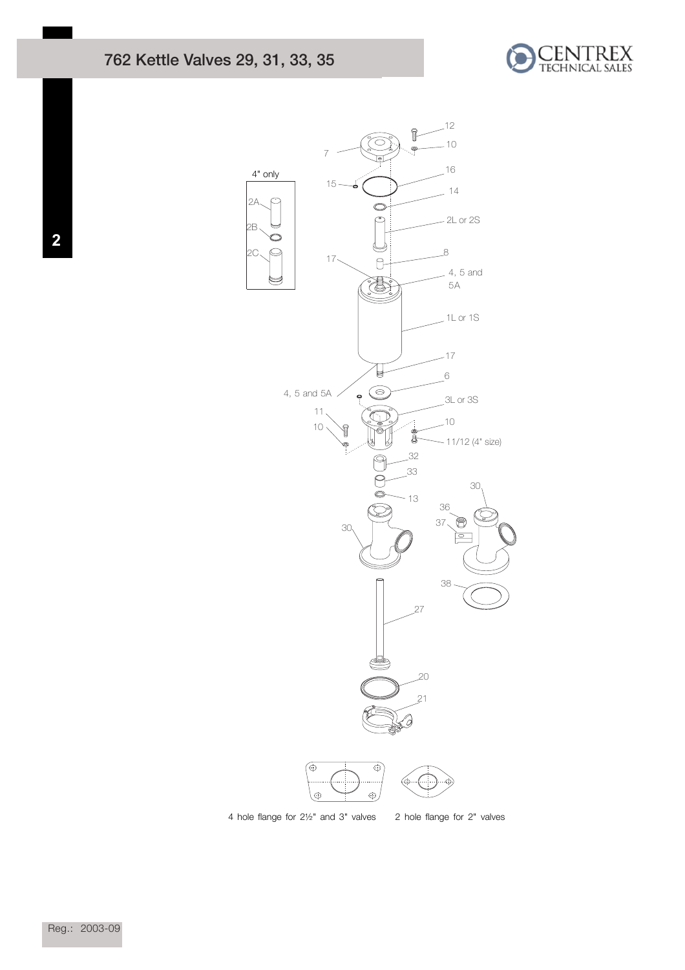